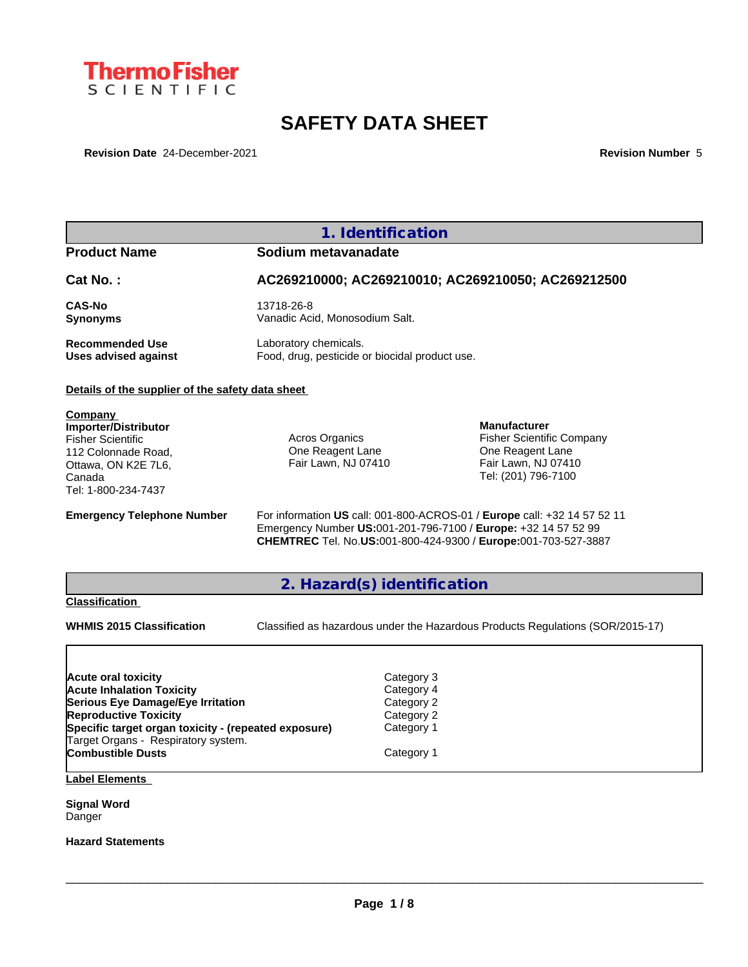

# **SAFETY DATA SHEET**

**Revision Date** 24-December-2021 **Revision Number** 5

### **Product Name Sodium metavanadate**

# **Cat No. : AC269210000; AC269210010; AC269210050; AC269212500 CAS-No** 13718-26-8

**Recommended Use** Laboratory chemicals.<br> **Uses advised against** Food, drug, pesticide of

**Synonyms** Vanadic Acid, Monosodium Salt. Food, drug, pesticide or biocidal product use.

#### **Details of the supplier of the safety data sheet**

**Company Importer/Distributor** Fisher Scientific 112 Colonnade Road, Ottawa, ON K2E 7L6, Canada Tel: 1-800-234-7437

Acros Organics One Reagent Lane Fair Lawn, NJ 07410

**Manufacturer** Fisher Scientific Company One Reagent Lane Fair Lawn, NJ 07410 Tel: (201) 796-7100

**Emergency Telephone Number** For information **US** call: 001-800-ACROS-01 / **Europe** call: +32 14 57 52 11 Emergency Number **US:**001-201-796-7100 / **Europe:** +32 14 57 52 99 **CHEMTREC** Tel. No.**US:**001-800-424-9300 / **Europe:**001-703-527-3887

### **2. Hazard(s) identification**

#### **Classification**

**WHMIS 2015 Classification** Classified as hazardous under the Hazardous Products Regulations (SOR/2015-17)

 $\_$  ,  $\_$  ,  $\_$  ,  $\_$  ,  $\_$  ,  $\_$  ,  $\_$  ,  $\_$  ,  $\_$  ,  $\_$  ,  $\_$  ,  $\_$  ,  $\_$  ,  $\_$  ,  $\_$  ,  $\_$  ,  $\_$  ,  $\_$  ,  $\_$  ,  $\_$  ,  $\_$  ,  $\_$  ,  $\_$  ,  $\_$  ,  $\_$  ,  $\_$  ,  $\_$  ,  $\_$  ,  $\_$  ,  $\_$  ,  $\_$  ,  $\_$  ,  $\_$  ,  $\_$  ,  $\_$  ,  $\_$  ,  $\_$  ,

| <b>Acute oral toxicity</b>                           | Category 3 |  |
|------------------------------------------------------|------------|--|
| <b>Acute Inhalation Toxicity</b>                     | Category 4 |  |
| Serious Eye Damage/Eye Irritation                    | Category 2 |  |
| <b>Reproductive Toxicity</b>                         | Category 2 |  |
| Specific target organ toxicity - (repeated exposure) | Category 1 |  |
| Target Organs - Respiratory system.                  |            |  |
| <b>Combustible Dusts</b>                             | Category 1 |  |
|                                                      |            |  |

**Label Elements**

**Signal Word** Danger

**Hazard Statements**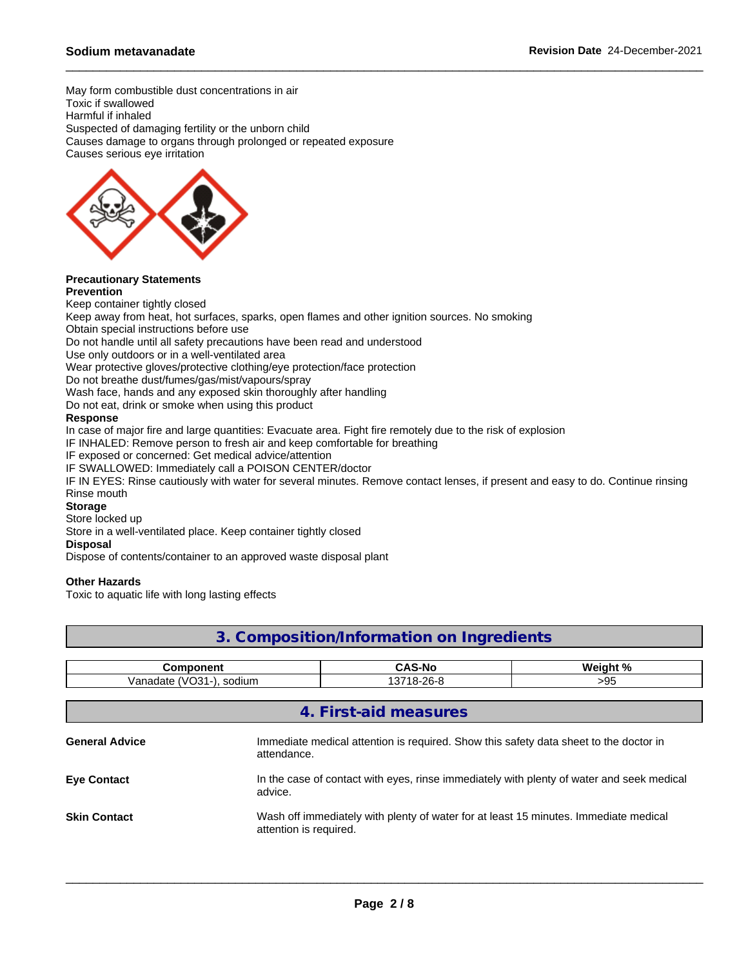May form combustible dust concentrations in air Toxic if swallowed Harmful if inhaled Suspected of damaging fertility or the unborn child Causes damage to organs through prolonged or repeated exposure Causes serious eye irritation



#### **Precautionary Statements Prevention**

Keep container tightly closed

Keep away from heat, hot surfaces, sparks, open flames and other ignition sources. No smoking

Obtain special instructions before use

Do not handle until all safety precautions have been read and understood

Use only outdoors or in a well-ventilated area

Wear protective gloves/protective clothing/eye protection/face protection

Do not breathe dust/fumes/gas/mist/vapours/spray

Wash face, hands and any exposed skin thoroughly after handling

Do not eat, drink or smoke when using this product

#### **Response**

In case of major fire and large quantities: Evacuate area. Fight fire remotely due to the risk of explosion

IF INHALED: Remove person to fresh air and keep comfortable for breathing

IF exposed or concerned: Get medical advice/attention

IF SWALLOWED: Immediately call a POISON CENTER/doctor

IF IN EYES: Rinse cautiously with water for several minutes. Remove contact lenses, if present and easy to do. Continue rinsing Rinse mouth

#### **Storage**

Store locked up

Store in a well-ventilated place. Keep container tightly closed

#### **Disposal**

Dispose of contents/container to an approved waste disposal plant

#### **Other Hazards**

Toxic to aquatic life with long lasting effects

### **3. Composition/Information on Ingredients**

| .:omponent                               | $\sim$ $\sim$ | $Wain + 0$ |
|------------------------------------------|---------------|------------|
| Vanadate<br>sodium<br>$\cdots$<br>.<br>w | 18-26-8       | ΩL<br>ับเ  |

|                       | 4. First-aid measures                                                                                          |
|-----------------------|----------------------------------------------------------------------------------------------------------------|
| <b>General Advice</b> | Immediate medical attention is required. Show this safety data sheet to the doctor in<br>attendance.           |
| <b>Eye Contact</b>    | In the case of contact with eyes, rinse immediately with plenty of water and seek medical<br>advice.           |
| <b>Skin Contact</b>   | Wash off immediately with plenty of water for at least 15 minutes. Immediate medical<br>attention is required. |
|                       |                                                                                                                |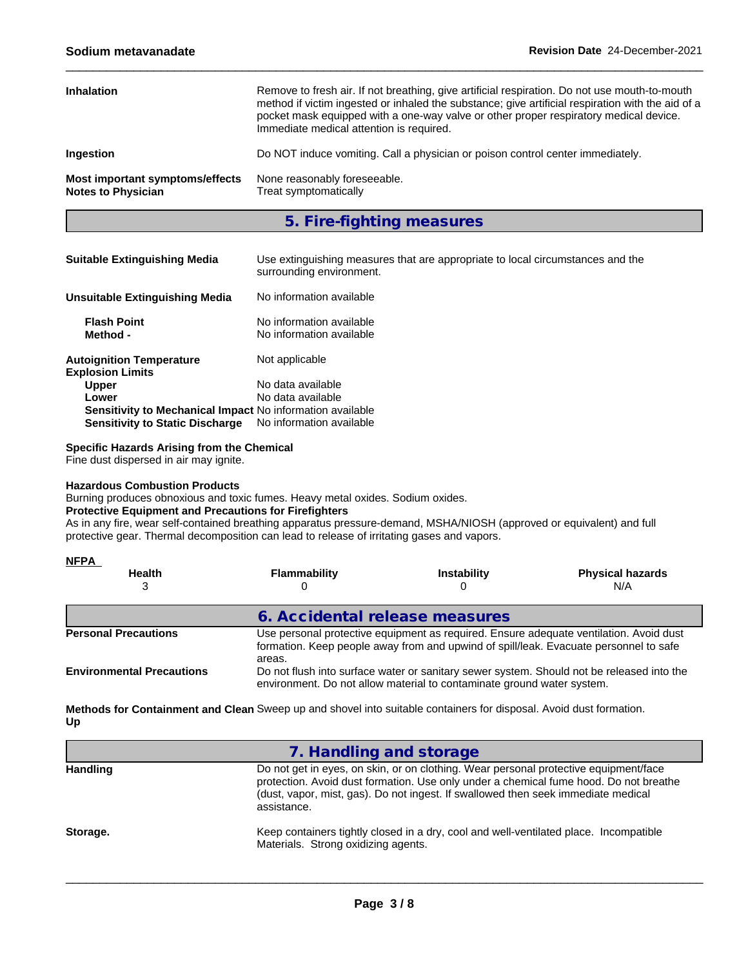| <b>Inhalation</b>                                            | Remove to fresh air. If not breathing, give artificial respiration. Do not use mouth-to-mouth<br>method if victim ingested or inhaled the substance; give artificial respiration with the aid of a<br>pocket mask equipped with a one-way valve or other proper respiratory medical device.<br>Immediate medical attention is required. |
|--------------------------------------------------------------|-----------------------------------------------------------------------------------------------------------------------------------------------------------------------------------------------------------------------------------------------------------------------------------------------------------------------------------------|
| <b>Ingestion</b>                                             | Do NOT induce vomiting. Call a physician or poison control center immediately.                                                                                                                                                                                                                                                          |
| Most important symptoms/effects<br><b>Notes to Physician</b> | None reasonably foreseeable.<br>Treat symptomatically                                                                                                                                                                                                                                                                                   |

**5. Fire-fighting measures**

| <b>Suitable Extinguishing Media</b>                        | Use extinguishing measures that are appropriate to local circumstances and the<br>surrounding environment. |
|------------------------------------------------------------|------------------------------------------------------------------------------------------------------------|
| <b>Unsuitable Extinguishing Media</b>                      | No information available                                                                                   |
| <b>Flash Point</b><br>Method -                             | No information available<br>No information available                                                       |
| <b>Autoignition Temperature</b><br><b>Explosion Limits</b> | Not applicable                                                                                             |
| <b>Upper</b>                                               | No data available                                                                                          |
| Lower                                                      | No data available                                                                                          |
| Sensitivity to Mechanical Impact No information available  |                                                                                                            |
| <b>Sensitivity to Static Discharge</b>                     | No information available                                                                                   |

**Specific Hazards Arising from the Chemical**

Fine dust dispersed in air may ignite.

#### **Hazardous Combustion Products**

Burning produces obnoxious and toxic fumes. Heavy metal oxides. Sodium oxides.

#### **Protective Equipment and Precautions for Firefighters**

As in any fire, wear self-contained breathing apparatus pressure-demand, MSHA/NIOSH (approved or equivalent) and full protective gear. Thermal decomposition can lead to release of irritating gases and vapors.

| <b>NFPA</b>                      |                                                                                                                                                                                           |                                                                        |                                                                                           |
|----------------------------------|-------------------------------------------------------------------------------------------------------------------------------------------------------------------------------------------|------------------------------------------------------------------------|-------------------------------------------------------------------------------------------|
| <b>Health</b>                    | Flammability                                                                                                                                                                              | <b>Instability</b>                                                     | <b>Physical hazards</b><br>N/A                                                            |
|                                  | 6. Accidental release measures                                                                                                                                                            |                                                                        |                                                                                           |
| <b>Personal Precautions</b>      | Use personal protective equipment as required. Ensure adequate ventilation. Avoid dust<br>formation. Keep people away from and upwind of spill/leak. Evacuate personnel to safe<br>areas. |                                                                        |                                                                                           |
| <b>Environmental Precautions</b> |                                                                                                                                                                                           | environment. Do not allow material to contaminate ground water system. | Do not flush into surface water or sanitary sewer system. Should not be released into the |

**Methods for Containment and Clean** Sweep up and shovel into suitable containers for disposal. Avoid dust formation. **Up**

|                 | 7. Handling and storage                                                                                                                                                                                                                                                           |
|-----------------|-----------------------------------------------------------------------------------------------------------------------------------------------------------------------------------------------------------------------------------------------------------------------------------|
| <b>Handling</b> | Do not get in eyes, on skin, or on clothing. Wear personal protective equipment/face<br>protection. Avoid dust formation. Use only under a chemical fume hood. Do not breathe<br>(dust, vapor, mist, gas). Do not ingest. If swallowed then seek immediate medical<br>assistance. |
| Storage.        | Keep containers tightly closed in a dry, cool and well-ventilated place. Incompatible<br>Materials. Strong oxidizing agents.                                                                                                                                                      |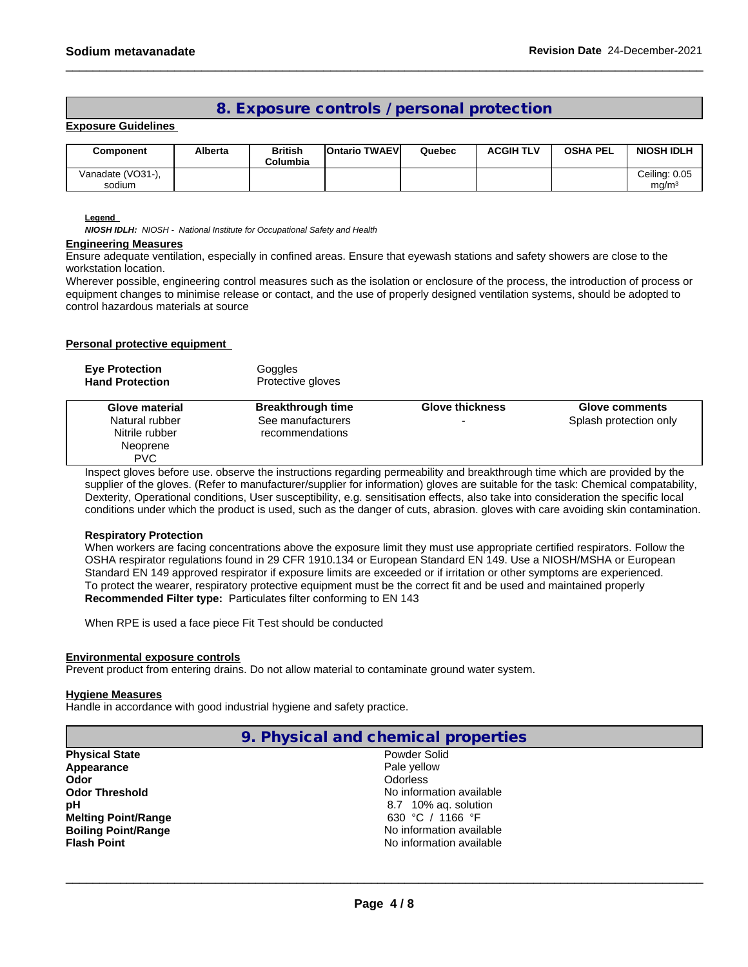### **8. Exposure controls / personal protection**

#### **Exposure Guidelines**

| Component                  | Alberta | <b>British</b><br>Columbia | <b>IOntario TWAEVI</b> | Quebec | <b>ACGIH TLV</b> | <b>OSHA PEL</b> | <b>NIOSH IDLH</b>                  |
|----------------------------|---------|----------------------------|------------------------|--------|------------------|-----------------|------------------------------------|
| Vanadate (VO31-)<br>sodium |         |                            |                        |        |                  |                 | Ceiling: 0.05<br>mq/m <sup>3</sup> |

#### **Legend**

*NIOSH IDLH: NIOSH - National Institute for Occupational Safety and Health*

#### **Engineering Measures**

Ensure adequate ventilation, especially in confined areas. Ensure that eyewash stations and safety showers are close to the workstation location.

Wherever possible, engineering control measures such as the isolation or enclosure of the process, the introduction of process or equipment changes to minimise release or contact, and the use of properly designed ventilation systems, should be adopted to control hazardous materials at source

#### **Personal protective equipment**

| <b>Eye Protection</b><br><b>Hand Protection</b>                              | Goggles<br>Protective gloves                                     |                        |                                                 |
|------------------------------------------------------------------------------|------------------------------------------------------------------|------------------------|-------------------------------------------------|
| Glove material<br>Natural rubber<br>Nitrile rubber<br>Neoprene<br><b>PVC</b> | <b>Breakthrough time</b><br>See manufacturers<br>recommendations | <b>Glove thickness</b> | <b>Glove comments</b><br>Splash protection only |

Inspect gloves before use. observe the instructions regarding permeability and breakthrough time which are provided by the supplier of the gloves. (Refer to manufacturer/supplier for information) gloves are suitable for the task: Chemical compatability, Dexterity, Operational conditions, User susceptibility, e.g. sensitisation effects, also take into consideration the specific local conditions under which the product is used, such as the danger of cuts, abrasion, gloves with care avoiding skin contamination.

#### **Respiratory Protection**

When workers are facing concentrations above the exposure limit they must use appropriate certified respirators. Follow the OSHA respirator regulations found in 29 CFR 1910.134 or European Standard EN 149. Use a NIOSH/MSHA or European Standard EN 149 approved respirator if exposure limits are exceeded or if irritation or other symptoms are experienced. To protect the wearer, respiratory protective equipment must be the correct fit and be used and maintained properly **Recommended Filter type:** Particulates filter conforming to EN 143

When RPE is used a face piece Fit Test should be conducted

#### **Environmental exposure controls**

Prevent product from entering drains. Do not allow material to contaminate ground water system.

#### **Hygiene Measures**

Handle in accordance with good industrial hygiene and safety practice.

| 9. Physical and chemical properties |                          |  |
|-------------------------------------|--------------------------|--|
| <b>Physical State</b>               | Powder Solid             |  |
| Appearance                          | Pale yellow              |  |
| Odor                                | <b>Odorless</b>          |  |
| <b>Odor Threshold</b>               | No information available |  |
| pН                                  | 8.7 10% ag. solution     |  |
| <b>Melting Point/Range</b>          | 630 °C / 1166 °F         |  |
| <b>Boiling Point/Range</b>          | No information available |  |
| Flash Point                         | No information available |  |
|                                     |                          |  |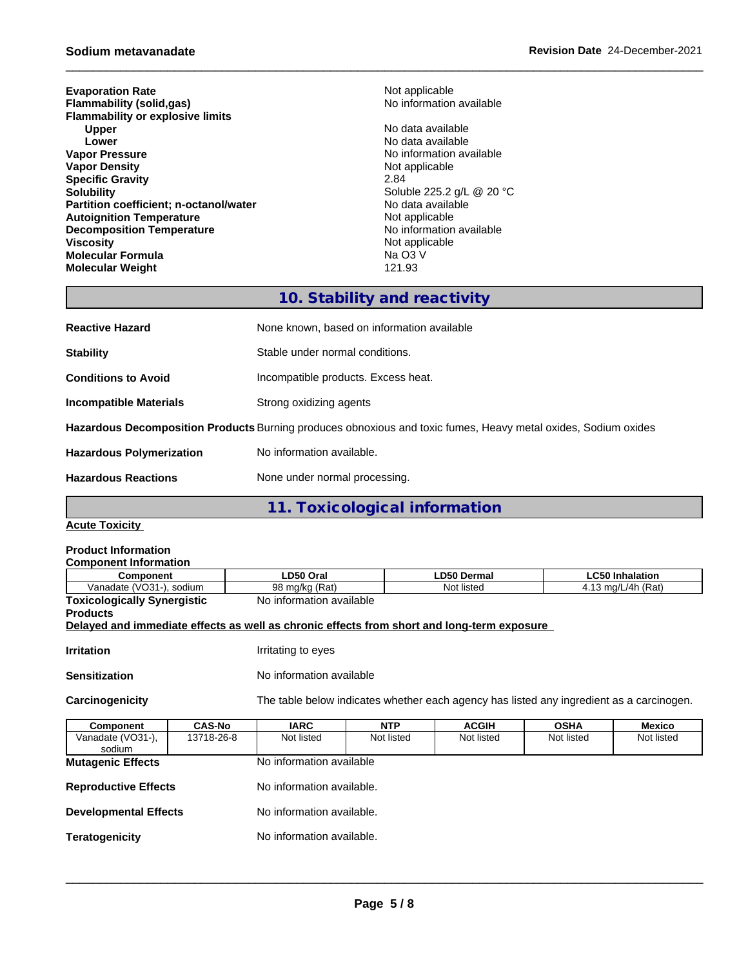**Evaporation Rate**<br> **Elammability (solid.gas)**<br> **Elammability (solid.gas)**<br> **Rate** No information available **Flammability** (solid,gas) **Flammability or explosive limits Upper** No data available<br> **Lower** No data available<br>
No data available **Lower Lower Lower CONSISTENT ACCORDING ALL CONSISTENT ACCORDING ALL CONSISTENCE ASSAULT AT A CONSISTENT ACCORDING A LOCAL CONSISTENT AND INCOMENT ACCORDING A LOCAL CONSISTENT AND A LOCAL CONSISTENT AND A LOCAL CONSI Vapor Density Not applicable** Not applicable **Specific Gravity** 2.84<br> **Solubility** 2.84<br> **Solubility** 2.84 **Partition coefficient; n-octanol/water** No data availal<br> **Autoignition Temperature Autoignition Temperature Autoignition Temperature**<br> **Decomposition Temperature Composition Temperature**<br> **No** information available **Decomposition Temperature**<br>Viscosity **Molecular Formula** Na O3 V **Molecular Weight** 

**No information available** Soluble 225.2 g/L @ 20 °C<br>No data available **Not applicable**<br>Na O3 V

### **10. Stability and reactivity**

| <b>Reactive Hazard</b>                                                                                         | None known, based on information available |  |
|----------------------------------------------------------------------------------------------------------------|--------------------------------------------|--|
| <b>Stability</b>                                                                                               | Stable under normal conditions.            |  |
| <b>Conditions to Avoid</b>                                                                                     | Incompatible products. Excess heat.        |  |
| <b>Incompatible Materials</b>                                                                                  | Strong oxidizing agents                    |  |
| Hazardous Decomposition Products Burning produces obnoxious and toxic fumes, Heavy metal oxides, Sodium oxides |                                            |  |
| <b>Hazardous Polymerization</b>                                                                                | No information available.                  |  |
| <b>Hazardous Reactions</b>                                                                                     | None under normal processing.              |  |

**11. Toxicological information**

**Acute Toxicity**

| <b>Product Information</b>                                                                 |               |                          |            |                                                                                          |             |                        |
|--------------------------------------------------------------------------------------------|---------------|--------------------------|------------|------------------------------------------------------------------------------------------|-------------|------------------------|
| <b>Component Information</b><br>Component                                                  |               | LD50 Oral                |            | <b>LD50 Dermal</b>                                                                       |             | <b>LC50 Inhalation</b> |
| Vanadate (VO31-), sodium                                                                   |               | 98 mg/kg (Rat)           |            | Not listed                                                                               |             | 4.13 mg/L/4h (Rat)     |
| <b>Toxicologically Synergistic</b>                                                         |               | No information available |            |                                                                                          |             |                        |
| <b>Products</b>                                                                            |               |                          |            |                                                                                          |             |                        |
| Delayed and immediate effects as well as chronic effects from short and long-term exposure |               |                          |            |                                                                                          |             |                        |
| <b>Irritation</b>                                                                          |               | Irritating to eyes       |            |                                                                                          |             |                        |
| <b>Sensitization</b>                                                                       |               | No information available |            |                                                                                          |             |                        |
| Carcinogenicity                                                                            |               |                          |            | The table below indicates whether each agency has listed any ingredient as a carcinogen. |             |                        |
| Component                                                                                  | <b>CAS-No</b> | <b>IARC</b>              | <b>NTP</b> | <b>ACGIH</b>                                                                             | <b>OSHA</b> | Mexico                 |
| Vanadate (VO31-),<br>sodium                                                                | 13718-26-8    | Not listed               | Not listed | Not listed                                                                               | Not listed  | Not listed             |
| <b>Mutagenic Effects</b>                                                                   |               | No information available |            |                                                                                          |             |                        |

- **Reproductive Effects** No information available.
- **Developmental Effects** No information available.
- **Teratogenicity No information available.**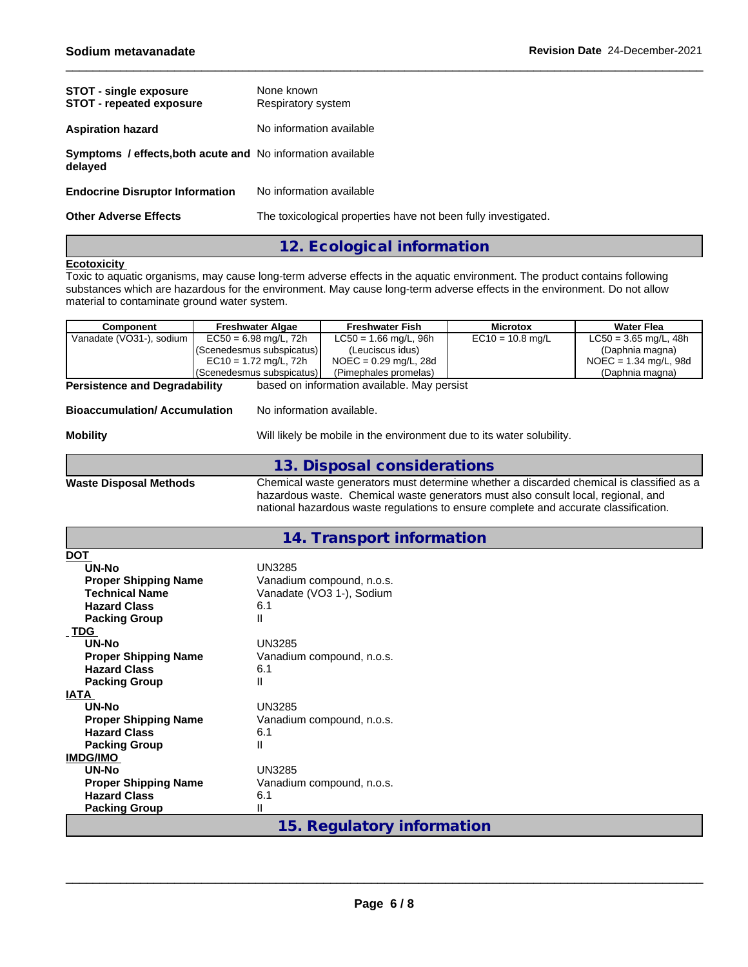| <b>STOT - single exposure</b><br><b>STOT - repeated exposure</b>              | None known<br>Respiratory system                               |
|-------------------------------------------------------------------------------|----------------------------------------------------------------|
| <b>Aspiration hazard</b>                                                      | No information available                                       |
| <b>Symptoms / effects, both acute and No information available</b><br>delayed |                                                                |
| <b>Endocrine Disruptor Information</b>                                        | No information available                                       |
| <b>Other Adverse Effects</b>                                                  | The toxicological properties have not been fully investigated. |

### **12. Ecological information**

#### **Ecotoxicity**

Toxic to aquatic organisms, may cause long-term adverse effects in the aquatic environment. The product contains following substances which are hazardous for the environment. May cause long-term adverse effects in the environment. Do not allow material to contaminate ground water system.

| <b>Component</b>                     | <b>Freshwater Algae</b>   | <b>Freshwater Fish</b>                                                                   | <b>Microtox</b>    | <b>Water Flea</b>       |  |  |  |  |
|--------------------------------------|---------------------------|------------------------------------------------------------------------------------------|--------------------|-------------------------|--|--|--|--|
| Vanadate (VO31-), sodium             | $EC50 = 6.98$ mg/L, 72h   | $LC50 = 1.66$ mg/L, 96h                                                                  | $EC10 = 10.8$ mg/L | $LC50 = 3.65$ mg/L, 48h |  |  |  |  |
|                                      | (Scenedesmus subspicatus) | (Leuciscus idus)                                                                         |                    | (Daphnia magna)         |  |  |  |  |
|                                      | $EC10 = 1.72$ mg/L, 72h   | $NOEC = 0.29$ mg/L, 28d                                                                  |                    | $NOEC = 1.34$ mg/L, 98d |  |  |  |  |
|                                      | (Scenedesmus subspicatus) | (Pimephales promelas)                                                                    |                    | (Daphnia magna)         |  |  |  |  |
| <b>Persistence and Degradability</b> |                           | based on information available. May persist                                              |                    |                         |  |  |  |  |
| <b>Bioaccumulation/Accumulation</b>  | No information available. |                                                                                          |                    |                         |  |  |  |  |
| <b>Mobility</b>                      |                           | Will likely be mobile in the environment due to its water solubility.                    |                    |                         |  |  |  |  |
|                                      |                           | 13. Disposal considerations                                                              |                    |                         |  |  |  |  |
| <b>Waste Disposal Methods</b>        |                           | Chemical waste generators must determine whether a discarded chemical is classified as a |                    |                         |  |  |  |  |
|                                      |                           | hazardous waste. Chemical waste generators must also consult local, regional, and        |                    |                         |  |  |  |  |
|                                      |                           | national hazardous waste regulations to ensure complete and accurate classification.     |                    |                         |  |  |  |  |
|                                      |                           |                                                                                          |                    |                         |  |  |  |  |
|                                      |                           | 14. Transport information                                                                |                    |                         |  |  |  |  |
| <b>DOT</b>                           |                           |                                                                                          |                    |                         |  |  |  |  |
| <b>UN-No</b>                         | <b>UN3285</b>             |                                                                                          |                    |                         |  |  |  |  |
| <b>Proper Shipping Name</b>          |                           | Vanadium compound, n.o.s.                                                                |                    |                         |  |  |  |  |
| <b>Technical Name</b>                |                           | Vanadate (VO3 1-), Sodium                                                                |                    |                         |  |  |  |  |
| <b>Hazard Class</b>                  | 6.1                       |                                                                                          |                    |                         |  |  |  |  |
| <b>Packing Group</b>                 | $\mathsf{II}$             |                                                                                          |                    |                         |  |  |  |  |
| <b>TDG</b>                           |                           |                                                                                          |                    |                         |  |  |  |  |
| UN-No                                | <b>UN3285</b>             |                                                                                          |                    |                         |  |  |  |  |
| <b>Proper Shipping Name</b>          |                           | Vanadium compound, n.o.s.                                                                |                    |                         |  |  |  |  |
| <b>Hazard Class</b>                  | 6.1                       |                                                                                          |                    |                         |  |  |  |  |
| <b>Packing Group</b>                 | Ш                         |                                                                                          |                    |                         |  |  |  |  |
| <b>IATA</b>                          |                           |                                                                                          |                    |                         |  |  |  |  |
| UN-No                                | <b>UN3285</b>             |                                                                                          |                    |                         |  |  |  |  |
| <b>Proper Shipping Name</b>          |                           | Vanadium compound, n.o.s.                                                                |                    |                         |  |  |  |  |
| <b>Hazard Class</b>                  | 6.1                       |                                                                                          |                    |                         |  |  |  |  |
| <b>Packing Group</b>                 | Ш                         |                                                                                          |                    |                         |  |  |  |  |
| <b>IMDG/IMO</b>                      |                           |                                                                                          |                    |                         |  |  |  |  |
| <b>UN-No</b>                         | <b>UN3285</b>             |                                                                                          |                    |                         |  |  |  |  |
| <b>Proper Shipping Name</b>          |                           | Vanadium compound, n.o.s.                                                                |                    |                         |  |  |  |  |
| <b>Hazard Class</b>                  | 6.1                       |                                                                                          |                    |                         |  |  |  |  |
| <b>Packing Group</b>                 | $\mathsf{II}$             |                                                                                          |                    |                         |  |  |  |  |
|                                      |                           |                                                                                          |                    |                         |  |  |  |  |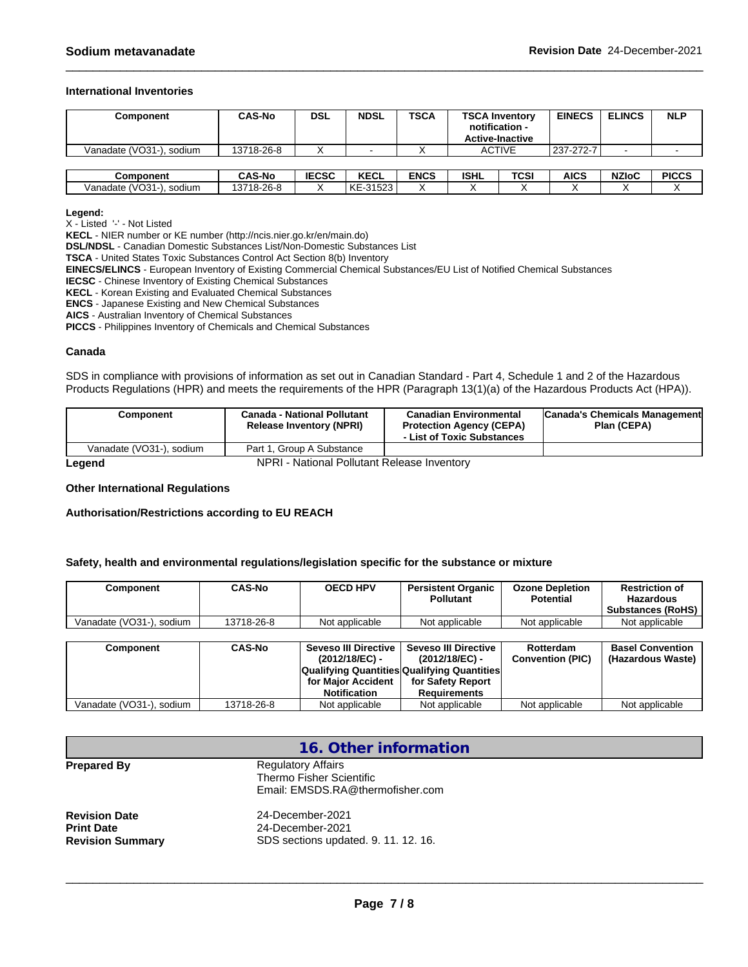#### **International Inventories**

| Component                | <b>CAS-No</b> | DSL          | <b>NDSL</b> | <b>TSCA</b> | <b>TSCA Inventory</b><br>notification -<br><b>Active-Inactive</b> |               | <b>EINECS</b> | <b>ELINCS</b> | <b>NLP</b>   |
|--------------------------|---------------|--------------|-------------|-------------|-------------------------------------------------------------------|---------------|---------------|---------------|--------------|
| Vanadate (VO31-), sodium | 13718-26-8    |              |             |             |                                                                   | <b>ACTIVE</b> | 237-272-7     |               |              |
|                          |               |              |             |             |                                                                   |               |               |               |              |
| Component                | <b>CAS-No</b> | <b>IECSC</b> | <b>KECL</b> | <b>ENCS</b> | <b>ISHL</b>                                                       | TCSI          | AICS          | <b>NZIoC</b>  | <b>PICCS</b> |
| Vanadate (VO31-), sodium | 13718-26-8    |              | KE-31523    |             |                                                                   |               |               |               |              |

**Legend:**

X - Listed '-' - Not Listed

**KECL** - NIER number or KE number (http://ncis.nier.go.kr/en/main.do)

**DSL/NDSL** - Canadian Domestic Substances List/Non-Domestic Substances List

**TSCA** - United States Toxic Substances Control Act Section 8(b) Inventory

**EINECS/ELINCS** - European Inventory of Existing Commercial Chemical Substances/EU List of Notified Chemical Substances

**IECSC** - Chinese Inventory of Existing Chemical Substances

**KECL** - Korean Existing and Evaluated Chemical Substances

**ENCS** - Japanese Existing and New Chemical Substances

**AICS** - Australian Inventory of Chemical Substances

**PICCS** - Philippines Inventory of Chemicals and Chemical Substances

#### **Canada**

SDS in compliance with provisions of information as set out in Canadian Standard - Part 4, Schedule 1 and 2 of the Hazardous Products Regulations (HPR) and meets the requirements of the HPR (Paragraph 13(1)(a) of the Hazardous Products Act (HPA)).

| <b>Component</b>         | Canada - National Pollutant<br><b>Release Inventory (NPRI)</b> | <b>Canadian Environmental</b><br><b>Protection Agency (CEPA)</b><br>- List of Toxic Substances | Canada's Chemicals Management<br>Plan (CEPA) |
|--------------------------|----------------------------------------------------------------|------------------------------------------------------------------------------------------------|----------------------------------------------|
| Vanadate (VO31-), sodium | Part 1. Group A Substance                                      |                                                                                                |                                              |
| hnana                    | NPRI - National Pollutant Release Inventory                    |                                                                                                |                                              |

**Legend** NPRI - National Pollutant Release Inventory

#### **Other International Regulations**

**Authorisation/Restrictions according to EU REACH**

#### **Safety, health and environmental regulations/legislation specific for the substance or mixture**

| Component                  | <b>CAS-No</b> | <b>OECD HPV</b> | <b>Persistent Organic</b><br><b>Pollutant</b> | <b>Ozone Depletion</b><br>Potential | <b>Restriction of</b><br><b>Hazardous</b><br><b>Substances (RoHS)</b> |
|----------------------------|---------------|-----------------|-----------------------------------------------|-------------------------------------|-----------------------------------------------------------------------|
| Vanadate (VO31-)<br>sodium | 13718-26-8    | Not applicable  | Not applicable                                | Not applicable                      | Not applicable                                                        |

| Component                | <b>CAS-No</b> | <b>Seveso III Directive</b><br>$(2012/18/EC)$ - | <b>Seveso III Directive</b><br>(2012/18/EC) -<br><b>Qualifying Quantities Qualifying Quantities</b> | Rotterdam<br><b>Convention (PIC)</b> | <b>Basel Convention</b><br>(Hazardous Waste) |
|--------------------------|---------------|-------------------------------------------------|-----------------------------------------------------------------------------------------------------|--------------------------------------|----------------------------------------------|
|                          |               | for Maior Accident<br><b>Notification</b>       | for Safety Report<br>Requirements                                                                   |                                      |                                              |
| Vanadate (VO31-), sodium | 13718-26-8    | Not applicable                                  | Not applicable                                                                                      | Not applicable                       | Not applicable                               |

|                                                                      | 16. Other information                                                                     |  |
|----------------------------------------------------------------------|-------------------------------------------------------------------------------------------|--|
| <b>Prepared By</b>                                                   | <b>Regulatory Affairs</b><br>Thermo Fisher Scientific<br>Email: EMSDS.RA@thermofisher.com |  |
| <b>Revision Date</b><br><b>Print Date</b><br><b>Revision Summary</b> | 24-December-2021<br>24-December-2021<br>SDS sections updated. 9. 11. 12. 16.              |  |